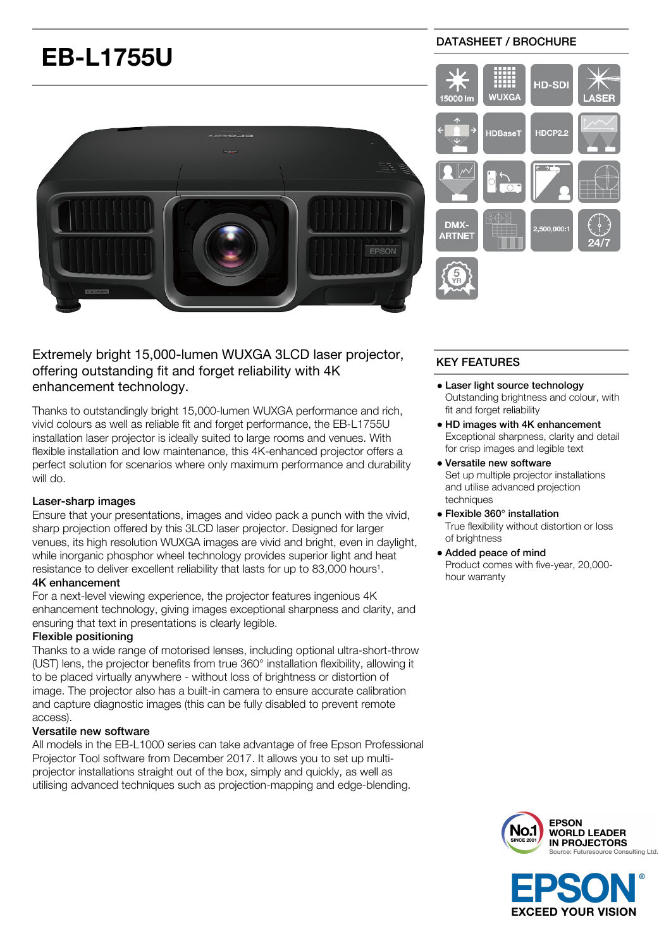# **EB-L1755U**



# Extremely bright 15,000-lumen WUXGA 3LCD laser projector, offering outstanding fit and forget reliability with 4K enhancement technology.

Thanks to outstandingly bright 15,000-lumen WUXGA performance and rich, vivid colours as well as reliable fit and forget performance, the EB-L1755U installation laser projector is ideally suited to large rooms and venues. With flexible installation and low maintenance, this 4K-enhanced projector offers a perfect solution for scenarios where only maximum performance and durability will do.

#### Laser-sharp images

Ensure that your presentations, images and video pack a punch with the vivid, sharp projection offered by this 3LCD laser projector. Designed for larger venues, its high resolution WUXGA images are vivid and bright, even in daylight, while inorganic phosphor wheel technology provides superior light and heat resistance to deliver excellent reliability that lasts for up to 83,000 hours<sup>1</sup>.

#### 4K enhancement

For a next-level viewing experience, the projector features ingenious 4K enhancement technology, giving images exceptional sharpness and clarity, and ensuring that text in presentations is clearly legible.

## Flexible positioning

Thanks to a wide range of motorised lenses, including optional ultra-short-throw (UST) lens, the projector benefits from true 360° installation flexibility, allowing it to be placed virtually anywhere - without loss of brightness or distortion of image. The projector also has a built-in camera to ensure accurate calibration and capture diagnostic images (this can be fully disabled to prevent remote access).

#### Versatile new software

All models in the EB-L1000 series can take advantage of free Epson Professional Projector Tool software from December 2017. It allows you to set up multiprojector installations straight out of the box, simply and quickly, as well as utilising advanced techniques such as projection-mapping and edge-blending.

### DATASHEET / BROCHURE



# KEY FEATURES

- Laser light source technology Outstanding brightness and colour, with fit and forget reliability
- HD images with 4K enhancement Exceptional sharpness, clarity and detail for crisp images and legible text
- Versatile new software Set up multiple projector installations and utilise advanced projection techniques
- Flexible 360° installation True flexibility without distortion or loss of brightness
- Added peace of mind Product comes with five-year, 20,000 hour warranty



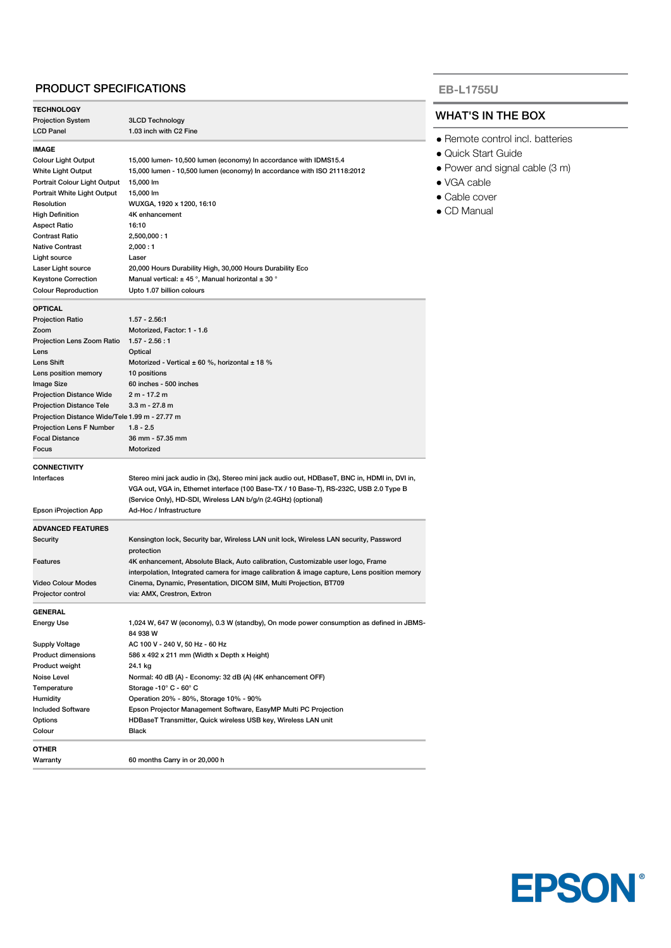#### PRODUCT SPECIFICATIONS

| <b>TECHNOLOGY</b>                              |                                                                                               |  |
|------------------------------------------------|-----------------------------------------------------------------------------------------------|--|
| <b>Projection System</b>                       | 3LCD Technology                                                                               |  |
| <b>LCD Panel</b>                               | 1.03 inch with C2 Fine                                                                        |  |
|                                                |                                                                                               |  |
| IMAGE                                          |                                                                                               |  |
| Colour Light Output                            | 15,000 lumen- 10,500 lumen (economy) In accordance with IDMS15.4                              |  |
| <b>White Light Output</b>                      | 15,000 lumen - 10,500 lumen (economy) In accordance with ISO 21118:2012                       |  |
| Portrait Colour Light Output                   | 15,000 lm                                                                                     |  |
| Portrait White Light Output                    | 15,000 lm<br>WUXGA, 1920 x 1200, 16:10                                                        |  |
| Resolution<br><b>High Definition</b>           | 4K enhancement                                                                                |  |
|                                                | 16:10                                                                                         |  |
| Aspect Ratio<br>Contrast Ratio                 | 2,500,000:1                                                                                   |  |
| Native Contrast                                | 2,000:1                                                                                       |  |
| Light source                                   | Laser                                                                                         |  |
| Laser Light source                             | 20,000 Hours Durability High, 30,000 Hours Durability Eco                                     |  |
| <b>Keystone Correction</b>                     | Manual vertical: $\pm$ 45 °, Manual horizontal $\pm$ 30 °                                     |  |
| <b>Colour Reproduction</b>                     | Upto 1.07 billion colours                                                                     |  |
|                                                |                                                                                               |  |
| <b>OPTICAL</b>                                 |                                                                                               |  |
| <b>Projection Ratio</b>                        | $1.57 - 2.56.1$                                                                               |  |
| Zoom                                           | Motorized, Factor: 1 - 1.6                                                                    |  |
| Projection Lens Zoom Ratio                     | $1.57 - 2.56 : 1$                                                                             |  |
| Lens                                           | Optical                                                                                       |  |
| Lens Shift                                     | Motorized - Vertical $\pm$ 60 %, horizontal $\pm$ 18 %                                        |  |
| Lens position memory                           | 10 positions                                                                                  |  |
| Image Size                                     | 60 inches - 500 inches                                                                        |  |
| <b>Projection Distance Wide</b>                | 2 m - 17.2 m                                                                                  |  |
| <b>Projection Distance Tele</b>                | $3.3 m - 27.8 m$                                                                              |  |
| Projection Distance Wide/Tele 1.99 m - 27.77 m |                                                                                               |  |
| <b>Projection Lens F Number</b>                | $1.8 - 2.5$                                                                                   |  |
| <b>Focal Distance</b><br>Focus                 | 36 mm - 57.35 mm<br>Motorized                                                                 |  |
|                                                |                                                                                               |  |
| <b>CONNECTIVITY</b>                            |                                                                                               |  |
| Interfaces                                     | Stereo mini jack audio in (3x), Stereo mini jack audio out, HDBaseT, BNC in, HDMI in, DVI in, |  |
|                                                | VGA out, VGA in, Ethernet interface (100 Base-TX / 10 Base-T), RS-232C, USB 2.0 Type B        |  |
|                                                | (Service Only), HD-SDI, Wireless LAN b/g/n (2.4GHz) (optional)                                |  |
| Epson iProjection App                          | Ad-Hoc / Infrastructure                                                                       |  |
| <b>ADVANCED FEATURES</b>                       |                                                                                               |  |
| Security                                       | Kensington lock, Security bar, Wireless LAN unit lock, Wireless LAN security, Password        |  |
|                                                | protection                                                                                    |  |
| Features                                       | 4K enhancement, Absolute Black, Auto calibration, Customizable user logo, Frame               |  |
|                                                | interpolation, Integrated camera for image calibration & image capture, Lens position memory  |  |
| <b>Video Colour Modes</b>                      | Cinema, Dynamic, Presentation, DICOM SIM, Multi Projection, BT709                             |  |
| Projector control                              | via: AMX, Crestron, Extron                                                                    |  |
| GENERAL                                        |                                                                                               |  |
| Energy Use                                     | 1,024 W, 647 W (economy), 0.3 W (standby), On mode power consumption as defined in JBMS-      |  |
|                                                | 84 938 W                                                                                      |  |
| <b>Supply Voltage</b>                          | AC 100 V - 240 V, 50 Hz - 60 Hz                                                               |  |
| Product dimensions                             | 586 x 492 x 211 mm (Width x Depth x Height)                                                   |  |
| Product weight                                 | 24.1 kg                                                                                       |  |
| Noise Level                                    | Normal: 40 dB (A) - Economy: 32 dB (A) (4K enhancement OFF)                                   |  |
| Temperature                                    | Storage -10° C - 60° C                                                                        |  |
| Humidity                                       | Operation 20% - 80%, Storage 10% - 90%                                                        |  |
| <b>Included Software</b>                       | Epson Projector Management Software, EasyMP Multi PC Projection                               |  |
| Options                                        | HDBaseT Transmitter, Quick wireless USB key, Wireless LAN unit                                |  |
| Colour                                         | Black                                                                                         |  |
|                                                |                                                                                               |  |
| OTHER<br>Warranty                              | 60 months Carry in or 20,000 h                                                                |  |

#### **EB-L1755U**

## WHAT'S IN THE BOX

- Remote control incl. batteries
- Quick Start Guide
- Power and signal cable (3 m)

**EPSON®** 

- VGA cable
- Cable cover
- CD Manual